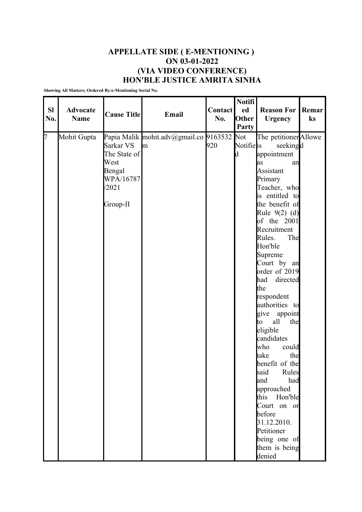## **APPELLATE SIDE ( E-MENTIONING ) ON 03-01-2022 (VIA VIDEO CONFERENCE) HON'BLE JUSTICE AMRITA SINHA**

**Showing All Matters; Ordered By:e-Mentioning Serial No.**

| <b>SI</b><br>No. | <b>Advocate</b><br><b>Name</b> | <b>Cause Title</b>                                                            | Email                                           | <b>Contact</b><br>No. | <b>Notifi</b><br>ed<br>Other | <b>Reason For</b><br><b>Urgency</b>                                                                                                                                                                                                                                                                                                                                                                                                                                                                                                                                                                         | Remar<br>ks |
|------------------|--------------------------------|-------------------------------------------------------------------------------|-------------------------------------------------|-----------------------|------------------------------|-------------------------------------------------------------------------------------------------------------------------------------------------------------------------------------------------------------------------------------------------------------------------------------------------------------------------------------------------------------------------------------------------------------------------------------------------------------------------------------------------------------------------------------------------------------------------------------------------------------|-------------|
|                  |                                |                                                                               |                                                 |                       | Party                        |                                                                                                                                                                                                                                                                                                                                                                                                                                                                                                                                                                                                             |             |
| 7                | Mohit Gupta                    | Sarkar VS<br>The State of<br>West<br>Bengal<br>WPA/16787<br>/2021<br>Group-II | Papia Malik mohit.adv@gmail.co 9163532 Not<br>m | 920                   | Notifie is<br>d              | The petitioner Allowe<br>seekingd<br>appointment<br>an<br>as<br>Assistant<br>Primary<br>Teacher, who<br>is entitled to<br>the benefit of<br>Rule 9(2) (d)<br>of the 2001<br>Recruitment<br>Rules.<br>The<br>Hon'ble<br>Supreme<br>Court by an<br>order of 2019<br>had<br>directed<br>the<br>respondent<br>authorities to<br>give<br>appoint<br>all<br>the<br>to<br>eligible<br>candidates<br>could<br>who<br>take<br>the<br>benefit of the<br>Rules<br>said<br>had<br>and<br>approached<br>Hon'ble<br>this<br>Court on or<br>before<br>31.12.2010.<br>Petitioner<br>being one of<br>them is being<br>denied |             |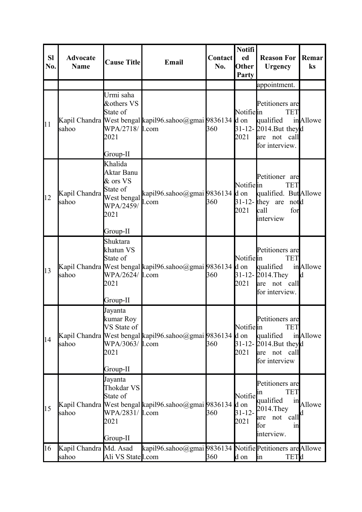| <b>Sl</b><br>No. | <b>Advocate</b><br><b>Name</b>  | <b>Cause Title</b>                                                                            | Email                                                     | <b>Contact</b><br>No. | <b>Notifi</b><br>ed<br><b>Other</b><br>Party | <b>Reason For</b><br><b>Urgency</b>                                                                             | Remar<br>ks   |
|------------------|---------------------------------|-----------------------------------------------------------------------------------------------|-----------------------------------------------------------|-----------------------|----------------------------------------------|-----------------------------------------------------------------------------------------------------------------|---------------|
|                  |                                 |                                                                                               |                                                           |                       |                                              | appointment.                                                                                                    |               |
| 11               | sahoo                           | Urmi saha<br>&others VS<br>State of<br>WPA/2718/ 1.com<br>2021<br>Group-II                    | Kapil Chandra West bengal kapil96.sahoo@gmai 9836134 d on | 360                   | Notifiein<br>2021                            | Petitioners are<br><b>TET</b><br>qualified<br>31-12-2014. But theyd<br>are not call<br>for interview.           | in Allowe     |
| 12               | Kapil Chandra<br>sahoo          | Khalida<br>Aktar Banu<br>& ors VS<br>State of<br>West bengal<br>WPA/2459/<br>2021<br>Group-II | kapil96.sahoo@gmai 9836134 d on<br>1.com                  | 360                   | Notifiein<br>2021                            | Petitioner are<br><b>TET</b><br>qualified. But Allowe<br>$31-12$ -they are<br>notd<br>call<br>for<br>interview  |               |
| 13               | sahoo                           | Shuktara<br>khatun VS<br>State of<br>WPA/2624/ 1.com<br>2021<br>Group-II                      | Kapil Chandra West bengal kapil96.sahoo@gmai 9836134 d on | 360                   | Notifiein<br>2021                            | Petitioners are<br><b>TET</b><br>qualified<br>31-12-2014. They<br>are not call<br>for interview.                | inAllowe<br>d |
| 14               | sahoo                           | Jayanta<br>kumar Roy<br>VS State of<br>WPA/3063/ 1.com<br>2021<br>Group-II                    | Kapil Chandra West bengal kapil96.sahoo@gmai 9836134      | 360                   | Notifiein<br>d on<br>2021                    | Petitioners are<br><b>TET</b><br>qualified<br>31-12-2014. But theyd<br>are not call<br>for interview            | in Allowe     |
| 15               | sahoo                           | Jayanta<br>Thokdar VS<br>State of<br>WPA/2831/ 1.com<br>2021<br>Group-II                      | Kapil Chandra West bengal kapil96.sahoo@gmai 9836134      | 360                   | Notifie<br>d on<br>$31 - 12 -$<br>2021       | Petitioners are<br><b>TET</b><br>ın<br>qualified<br>2014. They<br>not<br>call<br>are<br>for<br>1n<br>interview. | in Allowe     |
| 16               | Kapil Chandra Md. Asad<br>sahoo | Ali VS Statel.com                                                                             | kapil96.sahoo@gmai 9836134 Notifie Petitioners are Allowe | 360                   | d on                                         | <b>TETd</b><br>$\mathop{\text{in}}$                                                                             |               |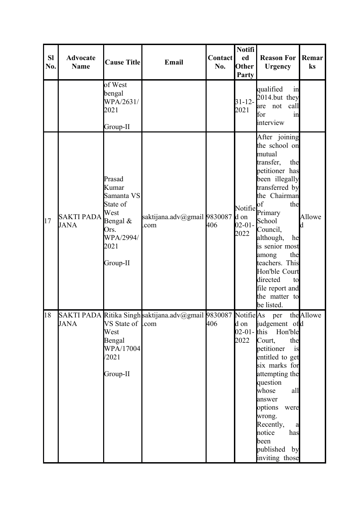| SI<br>No. | <b>Advocate</b><br><b>Name</b> | <b>Cause Title</b>                                                                                     | Email                                                          | <b>Contact</b><br>No. | <b>Notifi</b><br>ed<br>Other<br>Party  | <b>Reason For</b><br><b>Urgency</b>                                                                                                                                                                                                                                                                                                          | Remar<br>ks |
|-----------|--------------------------------|--------------------------------------------------------------------------------------------------------|----------------------------------------------------------------|-----------------------|----------------------------------------|----------------------------------------------------------------------------------------------------------------------------------------------------------------------------------------------------------------------------------------------------------------------------------------------------------------------------------------------|-------------|
|           |                                | of West<br>bengal<br>WPA/2631/<br>2021<br>Group-II                                                     |                                                                |                       | $31 - 12 -$<br>2021                    | qualified<br>in<br>2014.but they<br>not<br>call<br>are<br>for<br>in<br>interview                                                                                                                                                                                                                                                             |             |
| 17        | <b>SAKTI PADA</b><br>JANA      | Prasad<br>Kumar<br>Samanta VS<br>State of<br>West<br>Bengal &<br>Ors.<br>WPA/2994/<br>2021<br>Group-II | saktijana.adv@gmail 9830087<br>com                             | 406                   | Notifie<br>d on<br>$02 - 01 -$<br>2022 | After joining<br>the school on<br>mutual<br>transfer,<br>the<br>petitioner has<br>been illegally<br>transferred by<br>the Chairman<br>of<br>the<br>Primary<br>School<br>Council,<br>although,<br>he<br>is senior most<br>among<br>the<br>teachers. This<br>Hon'ble Court<br>directed<br>to<br>file report and<br>the matter to<br>be listed. | Allowe      |
| 18        | <b>JANA</b>                    | VS State of Lcom<br>West<br>Bengal<br>WPA/17004<br>/2021<br>Group-II                                   | SAKTI PADA Ritika Singh saktijana.adv@gmail 9830087 Notifie As | 406                   | d on<br>2022                           | per<br>judgement ofd<br>02-01-this Hon'ble<br>the<br>Court,<br>petitioner<br>is<br>entitled to get<br>six marks for<br>attempting the<br>question<br>whose<br>all<br>answer<br>options<br>were<br>wrong.<br>Recently,<br>a<br>notice<br>has<br>been<br>published by<br>inviting those                                                        | the Allowe  |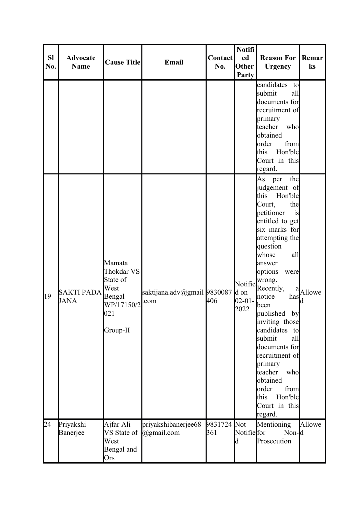| <b>SI</b><br>No. | <b>Advocate</b><br><b>Name</b> | <b>Cause Title</b>                                                                  | Email                                         | <b>Contact</b><br>No. | <b>Notifi</b><br>ed<br>Other<br>Party  | <b>Reason For</b><br><b>Urgency</b>                                                                                                                                                                                                                                                                                                                                                                                                                                             | Remar<br>ks |
|------------------|--------------------------------|-------------------------------------------------------------------------------------|-----------------------------------------------|-----------------------|----------------------------------------|---------------------------------------------------------------------------------------------------------------------------------------------------------------------------------------------------------------------------------------------------------------------------------------------------------------------------------------------------------------------------------------------------------------------------------------------------------------------------------|-------------|
|                  |                                |                                                                                     |                                               |                       |                                        | candidates<br>to<br>submit<br>all<br>documents for<br>recruitment of<br>primary<br>teacher<br>who<br>obtained<br>from<br>order<br>this<br>Hon'ble<br>Court in this<br>regard.                                                                                                                                                                                                                                                                                                   |             |
| 19               | <b>SAKTI PADA</b><br>JANA      | Mamata<br>Thokdar VS<br>State of<br>West<br>Bengal<br>WP/17150/2<br>021<br>Group-II | saktijana.adv@gmail9830087<br>com             | 406                   | Notifie<br>d on<br>$02 - 01 -$<br>2022 | As per<br>the<br>judgement of<br>this<br>Hon'ble<br>Court,<br>the<br>petitioner<br>is<br>entitled to get<br>six marks for<br>attempting the<br>question<br>whose<br>all<br>answer<br>options<br>were<br>wrong.<br>Recently,<br>a<br>notice<br>has<br>been<br>published<br>by<br>inviting those<br>candidates<br>to<br>submit<br>all<br>documents for<br>recruitment of<br>primary<br>teacher<br>who<br>obtained<br>order<br>from<br>Hon'ble<br>this<br>Court in this<br>regard. | Allowe      |
| 24               | Priyakshi<br>Banerjee          | Ajfar Ali<br>West<br>Bengal and<br>Ors                                              | priyakshibanerjee68<br>VS State of @gmail.com | 9831724<br>361        | Not<br>Notifie for                     | Mentioning<br>Non-d<br>Prosecution                                                                                                                                                                                                                                                                                                                                                                                                                                              | Allowe      |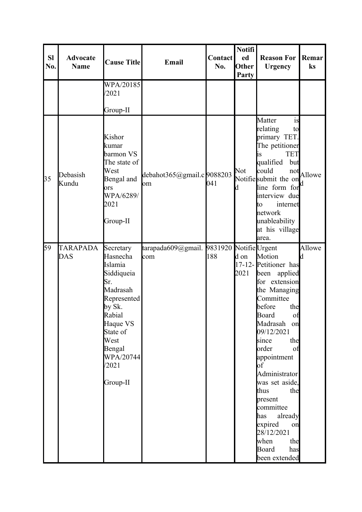| <b>SI</b><br>No. | <b>Advocate</b><br><b>Name</b> | <b>Cause Title</b>                                                                                                                                                               | Email                                           | <b>Contact</b><br>No. | <b>Notifi</b><br>ed<br>Other<br>Party | <b>Reason For</b><br><b>Urgency</b>                                                                                                                                                                                                                                                                                                                                                      | Remar<br>ks |
|------------------|--------------------------------|----------------------------------------------------------------------------------------------------------------------------------------------------------------------------------|-------------------------------------------------|-----------------------|---------------------------------------|------------------------------------------------------------------------------------------------------------------------------------------------------------------------------------------------------------------------------------------------------------------------------------------------------------------------------------------------------------------------------------------|-------------|
|                  |                                | WPA/20185<br>/2021<br>Group-II                                                                                                                                                   |                                                 |                       |                                       |                                                                                                                                                                                                                                                                                                                                                                                          |             |
| 35               | Debasish<br>Kundu              | Kishor<br>kumar<br>barmon VS<br>The state of<br>West<br>Bengal and<br>ors<br>WPA/6289/<br>2021<br>Group-II                                                                       | debahot365@gmail.c 9088203<br>om                | 041                   | Not                                   | Matter<br>is<br>relating<br>to<br>primary TET.<br>The petitioner<br><b>TET</b><br>1S<br>but<br>qualified<br>could<br>not<br>Notifie submit the on<br>line form for<br>interview due<br>to<br>internet<br>network<br>unableability<br>at his village<br>area.                                                                                                                             | Allowe      |
| 59               | <b>TARAPADA</b><br>DAS         | Secretary<br>Hasnecha<br>Islamia<br>Siddiqueia<br>Sr.<br>Madrasah<br>Represented<br>by Sk.<br>Rabial<br>Haque VS<br>State of<br>West<br>Bengal<br>WPA/20744<br>/2021<br>Group-II | tarapada609@gmail. 9831920 NotifieUrgent<br>com | 188                   | d on<br>2021                          | Motion<br>17-12-Petitioner has<br>been applied<br>for extension<br>the Managing<br>Committee<br>before<br>the<br>Board<br>of<br>Madrasah on<br>09/12/2021<br>the<br>since<br>order<br>of<br>appointment<br>of<br>Administrator<br>was set aside,<br>the<br>thus<br>present<br>committee<br>already<br>has<br>expired<br>on<br>28/12/2021<br>when<br>the<br>Board<br>has<br>been extended | Allowe<br>d |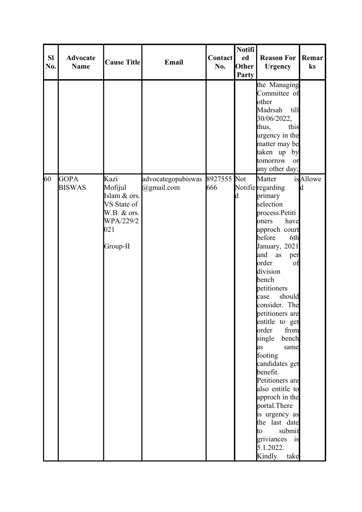| <b>SI</b><br>No. | <b>Advocate</b><br>Name      | <b>Cause Title</b>                                                                            | Email                            | <b>Contact</b><br>No. | <b>Notifi</b><br>ed<br>Other<br>Party | <b>Reason For</b><br><b>Urgency</b>                                                                                                                                                                                                                                                                                                                                                                                                                                                                                                                            | Remar<br>ks           |
|------------------|------------------------------|-----------------------------------------------------------------------------------------------|----------------------------------|-----------------------|---------------------------------------|----------------------------------------------------------------------------------------------------------------------------------------------------------------------------------------------------------------------------------------------------------------------------------------------------------------------------------------------------------------------------------------------------------------------------------------------------------------------------------------------------------------------------------------------------------------|-----------------------|
|                  |                              |                                                                                               |                                  |                       |                                       | the Managing<br>Committee of<br>other<br>Madrsah<br>till<br>30/06/2022,<br>thus,<br>this<br>urgency in the<br>matter may be<br>taken up by<br>tomorrow<br>or<br>any other day;                                                                                                                                                                                                                                                                                                                                                                                 |                       |
| 60               | <b>GOPA</b><br><b>BISWAS</b> | Kazi<br>Mofijul<br>Islam & ors.<br>VS State of<br>W.B. & ors.<br>WPA/229/2<br>021<br>Group-II | advocategopabiswas<br>@gmail.com | 8927555 Not<br>666    | d                                     | Matter<br>Notifie regarding<br>primary<br>selection<br>process.Petiti<br>have<br>oners<br>approch court<br>before<br>6th<br>January, 2021<br>and<br>as<br>per<br>order<br>of<br>division<br>bench<br>petitioners<br>should<br>case<br>consider. The<br>petitioners are<br>entitle to get<br>order<br>from<br>single<br>bench<br>same<br>as<br>footing<br>candidates get<br>benefit.<br>Petitioners are<br>also entitle to<br>approch in the<br>portal. There<br>is urgency as<br>the last date<br>submit<br>to<br>griviances is<br>5.1.2022.<br>Kindly<br>take | <i>is</i> Allowe<br>d |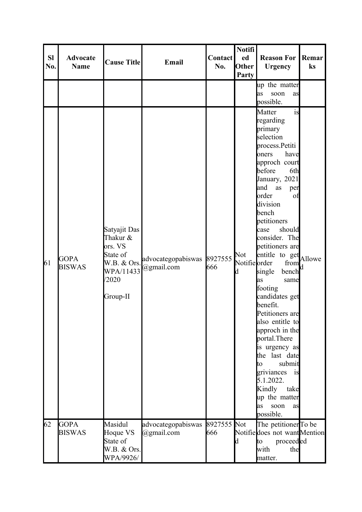| <b>SI</b><br>No. | <b>Advocate</b><br><b>Name</b> | <b>Cause Title</b>                                                                               | Email                                    | <b>Contact</b><br>No. | <b>Notifi</b><br>ed<br>Other<br><b>Party</b> | <b>Reason For</b><br><b>Urgency</b>                                                                                                                                                                                                                                                                                                                                                                                                                                                                                                                                                                             | Remar<br>ks |
|------------------|--------------------------------|--------------------------------------------------------------------------------------------------|------------------------------------------|-----------------------|----------------------------------------------|-----------------------------------------------------------------------------------------------------------------------------------------------------------------------------------------------------------------------------------------------------------------------------------------------------------------------------------------------------------------------------------------------------------------------------------------------------------------------------------------------------------------------------------------------------------------------------------------------------------------|-------------|
|                  |                                |                                                                                                  |                                          |                       |                                              | up the matter<br>soon<br>as<br>as<br>possible.                                                                                                                                                                                                                                                                                                                                                                                                                                                                                                                                                                  |             |
| 61               | <b>GOPA</b><br><b>BISWAS</b>   | Satyajit Das<br>Thakur &<br>ors. VS<br>State of<br>W.B. & Ors.<br>WPA/11433<br>/2020<br>Group-II | advocategopabiswas 8927555<br>@gmail.com | 666                   | Not<br>Notifie order                         | Matter<br>is<br>regarding<br>primary<br>selection<br>process.Petiti<br>have<br>oners<br>approch court<br>before<br>6th<br>January, 2021<br>and<br>as<br>per<br>order<br>of<br>division<br>bench<br>petitioners<br>should<br>case<br>consider. The<br>petitioners are<br>entitle to get Allowe<br>from<br>bench<br>single<br>as<br>same<br>footing<br>candidates get<br>benefit.<br>Petitioners are<br>also entitle to<br>approch in the<br>portal. There<br>is urgency as<br>the last date<br>submit<br>to<br>griviances<br>1S<br>5.1.2022.<br>Kindly<br>take<br>up the matter<br>soon<br>as<br>as<br>possible. |             |
| 62               | <b>GOPA</b><br><b>BISWAS</b>   | Masidul<br>Hoque VS<br>State of<br>W.B. & Ors.<br>WPA/9926/                                      | advocategopabiswas 8927555<br>@gmail.com | 666                   | Not                                          | The petitioner To be<br>Notifie does not want Mention<br>proceeded<br>to<br>with<br>the<br>matter.                                                                                                                                                                                                                                                                                                                                                                                                                                                                                                              |             |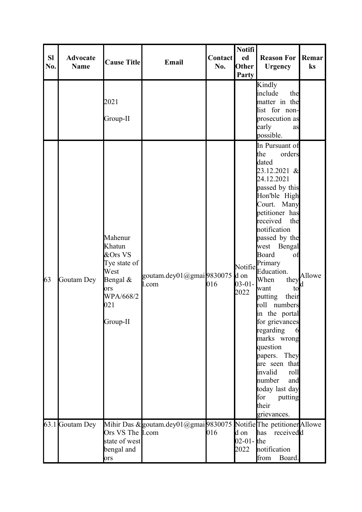| <b>SI</b><br>No. | <b>Advocate</b><br><b>Name</b> | <b>Cause Title</b><br>2021<br>Group-II                                                                    | Email                                                               | <b>Contact</b><br>No. | <b>Notifi</b><br>ed<br>Other<br>Party  | <b>Reason For</b><br><b>Urgency</b><br>Kindly<br>include<br>the<br>matter in the<br>list for non-<br>prosecution as<br>early<br>as                                                                                                                                                                                                                                                                                                                                                                                                                    | Remar<br>ks |
|------------------|--------------------------------|-----------------------------------------------------------------------------------------------------------|---------------------------------------------------------------------|-----------------------|----------------------------------------|-------------------------------------------------------------------------------------------------------------------------------------------------------------------------------------------------------------------------------------------------------------------------------------------------------------------------------------------------------------------------------------------------------------------------------------------------------------------------------------------------------------------------------------------------------|-------------|
| 63               | Goutam Dey                     | Mahenur<br>Khatun<br>&Ors VS<br>Tye state of<br>West<br>Bengal $&$<br>ors<br>WPA/668/2<br>021<br>Group-II | goutam.dey01@gmai9830075<br>l.com                                   | 016                   | Notifie<br>d on<br>$03 - 01 -$<br>2022 | possible.<br>In Pursuant of<br>the<br>orders<br>dated<br>23.12.2021 &<br>24.12.2021<br>passed by this<br>Hon'ble High<br>Court. Many<br>petitioner has<br>received<br>the<br>notification<br>passed by the<br>west Bengal<br>Board<br>of<br>Primary<br>Education.<br>When<br>they<br>to<br>want<br>their<br>putting<br>numbers<br>roll<br>in the portal<br>for grievances<br>regarding<br>marks wrong<br>question<br>They<br>papers.<br>are seen that<br>invalid<br>roll<br>number<br>and<br>today last day<br>for<br>putting<br>their<br>grievances. | Allowe      |
|                  | 63.1 Goutam Dey                | Ors VS The 1.com<br>state of west<br>bengal and<br>ors                                                    | Mihir Das & goutam.dey01@gmai 9830075 Notifie The petitioner Allowe | 016                   | d on<br>02-01- $the$<br>2022           | has<br>receivedd<br>notification<br>from<br>Board.                                                                                                                                                                                                                                                                                                                                                                                                                                                                                                    |             |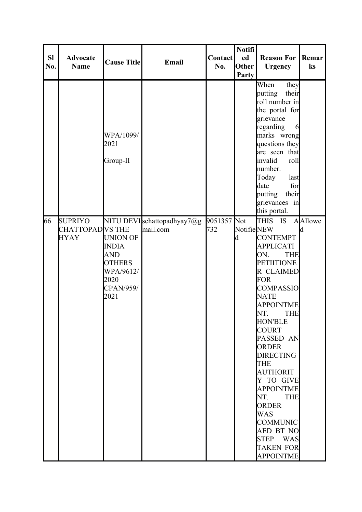| <b>Sl</b><br>No. | <b>Advocate</b><br><b>Name</b>                          | <b>Cause Title</b>                                                                                       | Email                                   | <b>Contact</b><br>No. | <b>Notifi</b><br>ed<br>Other<br>Party | <b>Reason For</b><br><b>Urgency</b>                                                                                                                                                                                                                                                                                                                                                                                                                                                                          | Remar<br>ks     |
|------------------|---------------------------------------------------------|----------------------------------------------------------------------------------------------------------|-----------------------------------------|-----------------------|---------------------------------------|--------------------------------------------------------------------------------------------------------------------------------------------------------------------------------------------------------------------------------------------------------------------------------------------------------------------------------------------------------------------------------------------------------------------------------------------------------------------------------------------------------------|-----------------|
|                  |                                                         | WPA/1099/<br>2021<br>Group-II                                                                            |                                         |                       |                                       | When<br>they<br>putting<br>their<br>roll number in<br>the portal for<br>grievance<br>regarding<br>6<br>marks wrong<br>questions they<br>are seen that<br>invalid<br>roll<br>number.<br>Today<br>last<br>date<br>for<br>putting<br>their<br>grievances in<br>this portal.                                                                                                                                                                                                                                     |                 |
| 66               | <b>SUPRIYO</b><br><b>CHATTOPADVS THE</b><br><b>HYAY</b> | <b>UNION OF</b><br><b>INDIA</b><br><b>AND</b><br><b>OTHERS</b><br>WPA/9612/<br>2020<br>CPAN/959/<br>2021 | NITU DEVI schattopadhyay7@g<br>mail.com | 9051357 Not<br>732    | Notifie NEW<br>d                      | <b>THIS</b><br>IS<br><b>CONTEMPT</b><br><b>APPLICATI</b><br>ON.<br><b>THE</b><br><b>PETIITIONE</b><br>R CLAIMED<br><b>FOR</b><br><b>COMPASSIO</b><br><b>NATE</b><br><b>APPOINTME</b><br>NT.<br><b>THE</b><br><b>HON'BLE</b><br><b>COURT</b><br>PASSED AN<br><b>ORDER</b><br><b>DIRECTING</b><br><b>THE</b><br><b>AUTHORIT</b><br>Y TO GIVE<br><b>APPOINTME</b><br>NT.<br><b>THE</b><br><b>ORDER</b><br><b>WAS</b><br><b>COMMUNIC</b><br><b>AED BT NO</b><br>STEP WAS<br><b>TAKEN FOR</b><br><b>APPOINTME</b> | <b>A</b> Allowe |